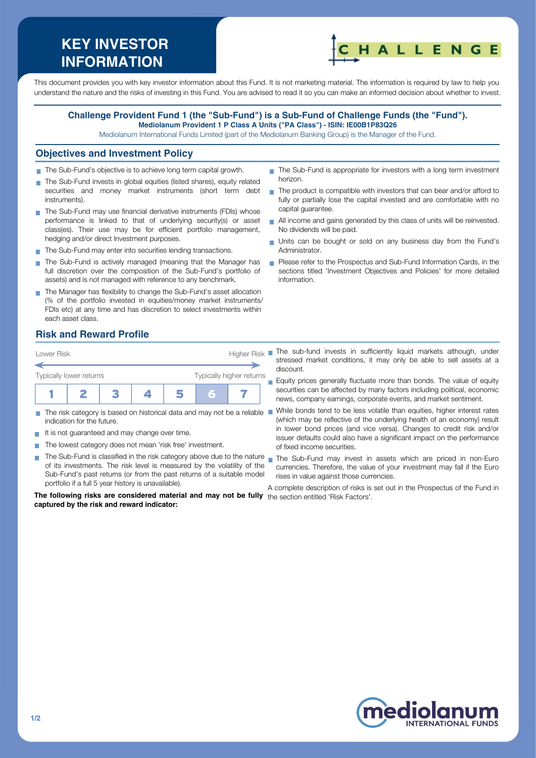# **KEY INVESTOR INFORMATION**



This document provides you with key investor information about this Fund. It is not marketing material. The information is required by law to help you understand the nature and the risks of investing in this Fund. You are advised to read it so you can make an informed decision about whether to invest.

#### **Challenge Provident Fund 1 (the "Sub-Fund") is a Sub-Fund of Challenge Funds (the "Fund"). Mediolanum Provident 1 P Class A Units ("PA Class") - ISIN: IE00B1P83Q26**

Mediolanum International Funds Limited (part of the Mediolanum Banking Group) is the Manager of the Fund.

#### **Objectives and Investment Policy**

- The Sub-Fund's objective is to achieve long term capital growth.
- The Sub-Fund invests in global equities (listed shares), equity related securities and money market instruments (short term debt instruments).
- The Sub-Fund may use financial derivative instruments (FDIs) whose performance is linked to that of underlying security(s) or asset class(es). Their use may be for efficient portfolio management, hedging and/or direct Investment purposes.
- The Sub-Fund may enter into securities lending transactions.
- The Sub-Fund is actively managed (meaning that the Manager has Ħ full discretion over the composition of the Sub-Fund's portfolio of assets) and is not managed with reference to any benchmark.
- The Manager has flexibility to change the Sub-Fund's asset allocation (% of the portfolio invested in equities/money market instruments/ FDIs etc) at any time and has discretion to select investments within each asset class.
- The Sub-Fund is appropriate for investors with a long term investment horizon.
- The product is compatible with investors that can bear and/or afford to fully or partially lose the capital invested and are comfortable with no capital guarantee.
- All income and gains generated by this class of units will be reinvested. No dividends will be paid.
- Units can be bought or sold on any business day from the Fund's Administrator.
- **Please refer to the Prospectus and Sub-Fund Information Cards, in the** sections titled 'Investment Objectives and Policies' for more detailed information.

# **Risk and Reward Profile**



- **The State** indication for the future.
- It is not guaranteed and may change over time.
- The lowest category does not mean 'risk free' investment.  $\sim$
- of its investments. The risk level is measured by the volatility of the Sub-Fund's past returns (or from the past returns of a suitable model portfolio if a full 5 year history is unavailable).

**The following risks are considered material and may not be fully** the section entitled 'Risk Factors'.**captured by the risk and reward indicator:**

- stressed market conditions, it may only be able to sell assets at a discount.
- Equity prices generally fluctuate more than bonds. The value of equity securities can be affected by many factors including political, economic news, company earnings, corporate events, and market sentiment.
- The risk category is based on historical data and may not be a reliable While bonds tend to be less volatile than equities, higher interest rates (which may be reflective of the underlying health of an economy) result in lower bond prices (and vice versa). Changes to credit risk and/or issuer defaults could also have a significant impact on the performance of fixed income securities.
- The Sub-Fund is classified in the risk category above due to the nature nan the Sub-Fund may invest in assets which are priced in non-Euro currencies. Therefore, the value of your investment may fall if the Euro rises in value against those currencies.

A complete description of risks is set out in the Prospectus of the Fund in